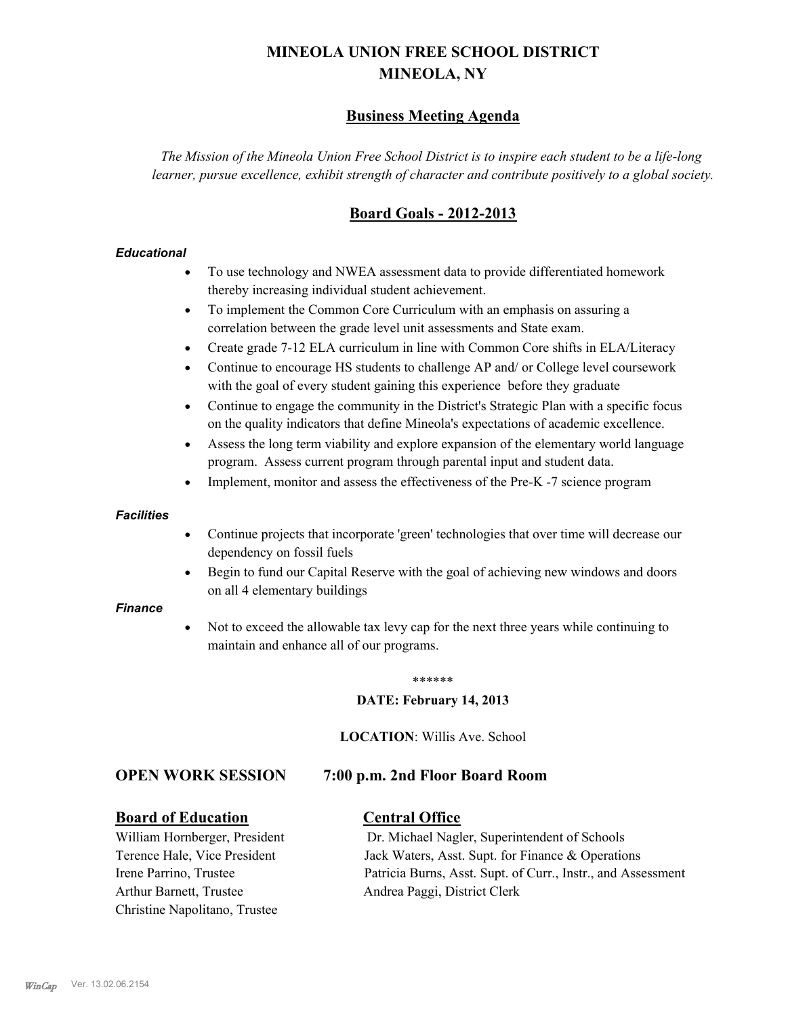## **MINEOLA UNION FREE SCHOOL DISTRICT MINEOLA, NY**

## **Business Meeting Agenda**

*The Mission of the Mineola Union Free School District is to inspire each student to be a life-long learner, pursue excellence, exhibit strength of character and contribute positively to a global society.*

## **Board Goals - 2012-2013**

#### *Educational*

- · To use technology and NWEA assessment data to provide differentiated homework thereby increasing individual student achievement.
- · To implement the Common Core Curriculum with an emphasis on assuring a correlation between the grade level unit assessments and State exam.
- Create grade 7-12 ELA curriculum in line with Common Core shifts in ELA/Literacy
- Continue to encourage HS students to challenge AP and/ or College level coursework with the goal of every student gaining this experience before they graduate
- · Continue to engage the community in the District's Strategic Plan with a specific focus on the quality indicators that define Mineola's expectations of academic excellence.
- Assess the long term viability and explore expansion of the elementary world language program. Assess current program through parental input and student data.
- Implement, monitor and assess the effectiveness of the Pre-K -7 science program

#### *Facilities*

- · Continue projects that incorporate 'green' technologies that over time will decrease our dependency on fossil fuels
- · Begin to fund our Capital Reserve with the goal of achieving new windows and doors on all 4 elementary buildings

#### *Finance*

Not to exceed the allowable tax levy cap for the next three years while continuing to maintain and enhance all of our programs.

#### \*\*\*\*\*\*

#### **DATE: February 14, 2013**

**LOCATION**: Willis Ave. School

#### **OPEN WORK SESSION 7:00 p.m. 2nd Floor Board Room**

#### **Board of Education Central Office**

Arthur Barnett, Trustee Andrea Paggi, District Clerk Christine Napolitano, Trustee

William Hornberger, President Dr. Michael Nagler, Superintendent of Schools Terence Hale, Vice President Jack Waters, Asst. Supt. for Finance & Operations Irene Parrino, Trustee Patricia Burns, Asst. Supt. of Curr., Instr., and Assessment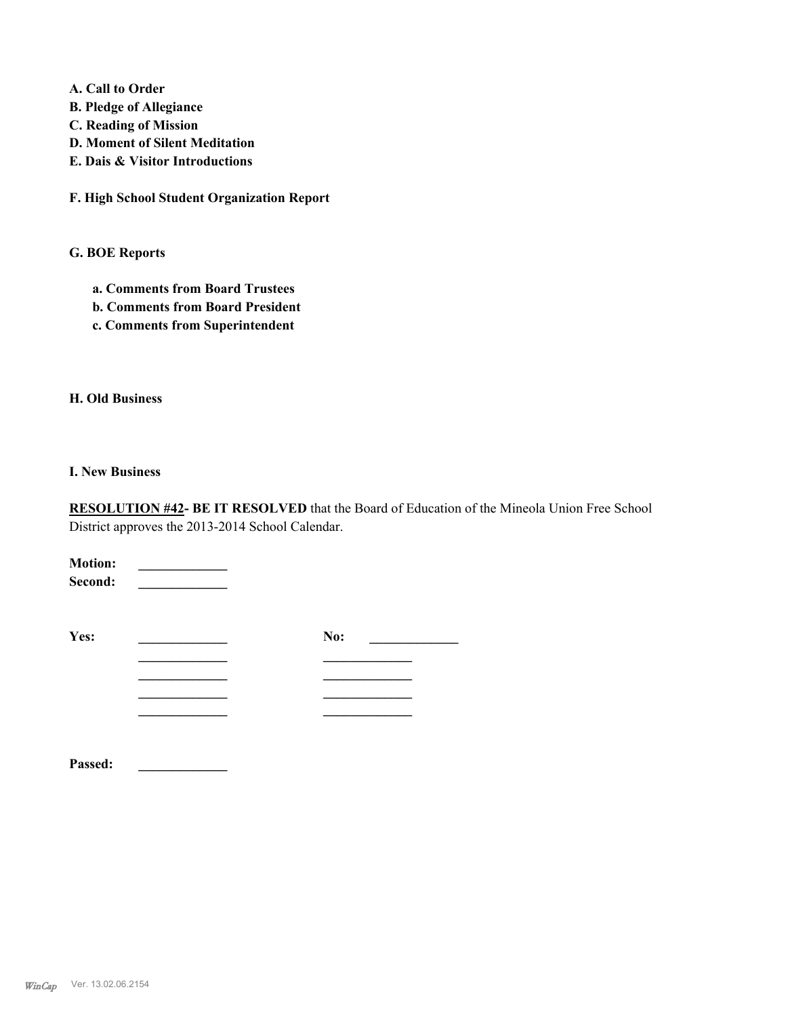**A. Call to Order** 

- **B. Pledge of Allegiance**
- **C. Reading of Mission**
- **D. Moment of Silent Meditation**
- **E. Dais & Visitor Introductions**
- **F. High School Student Organization Report**

#### **G. BOE Reports**

- **a. Comments from Board Trustees**
- **b. Comments from Board President**
- **c. Comments from Superintendent**

#### **H. Old Business**

#### **I. New Business**

**RESOLUTION #42- BE IT RESOLVED** that the Board of Education of the Mineola Union Free School District approves the 2013-2014 School Calendar.

| <b>Motion:</b><br>Second: |     |  |
|---------------------------|-----|--|
| Yes:                      | No: |  |
|                           |     |  |
|                           |     |  |
|                           |     |  |
|                           |     |  |
| Passed:                   |     |  |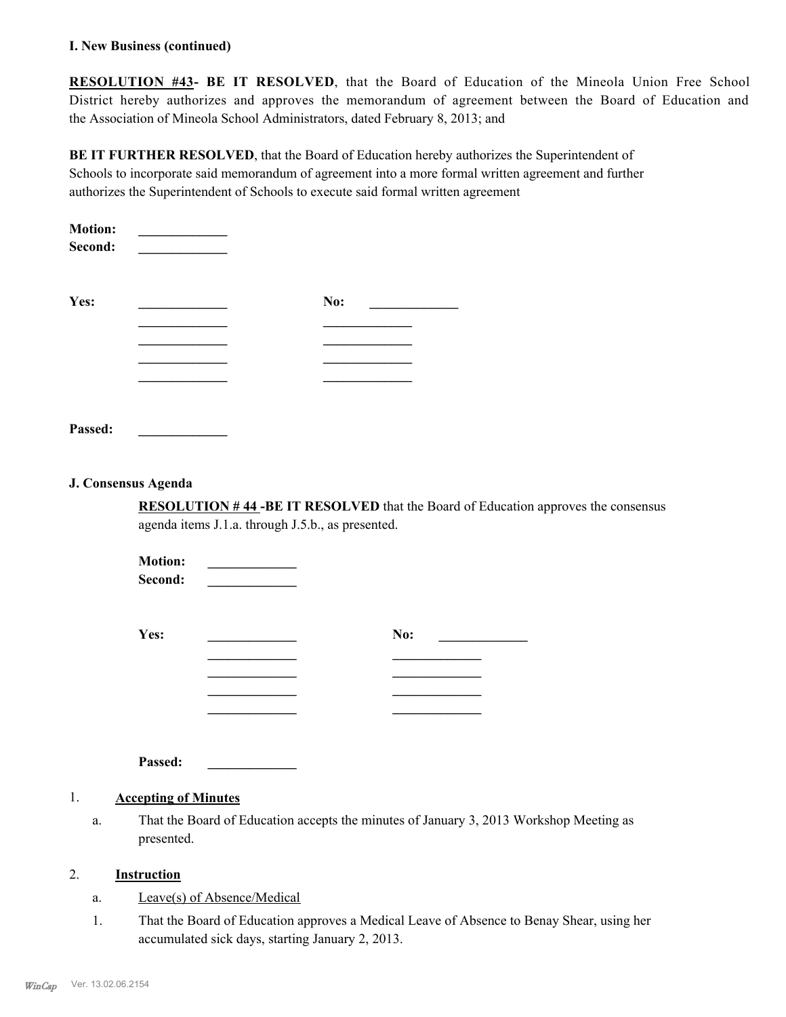#### **I. New Business (continued)**

**RESOLUTION #43- BE IT RESOLVED**, that the Board of Education of the Mineola Union Free School District hereby authorizes and approves the memorandum of agreement between the Board of Education and the Association of Mineola School Administrators, dated February 8, 2013; and

BE IT FURTHER RESOLVED, that the Board of Education hereby authorizes the Superintendent of Schools to incorporate said memorandum of agreement into a more formal written agreement and further authorizes the Superintendent of Schools to execute said formal written agreement

| <b>Motion:</b> |     |
|----------------|-----|
| Second:        |     |
|                |     |
| Yes:           | No: |
|                |     |
|                |     |
|                |     |
|                |     |
|                |     |
| Passed:        |     |

#### **J. Consensus Agenda**

**RESOLUTION # 44 -BE IT RESOLVED** that the Board of Education approves the consensus agenda items J.1.a. through J.5.b., as presented.

| <b>Motion:</b><br>Second: |     |
|---------------------------|-----|
| Yes:                      | No: |
|                           |     |
|                           |     |
|                           |     |
|                           |     |
|                           |     |

# 1. **Accepting of Minutes**

**Passed: \_\_\_\_\_\_\_\_\_\_\_\_\_**

That the Board of Education accepts the minutes of January 3, 2013 Workshop Meeting as presented. a.

#### 2. **Instruction**

- a. Leave(s) of Absence/Medical
- That the Board of Education approves a Medical Leave of Absence to Benay Shear, using her accumulated sick days, starting January 2, 2013. 1.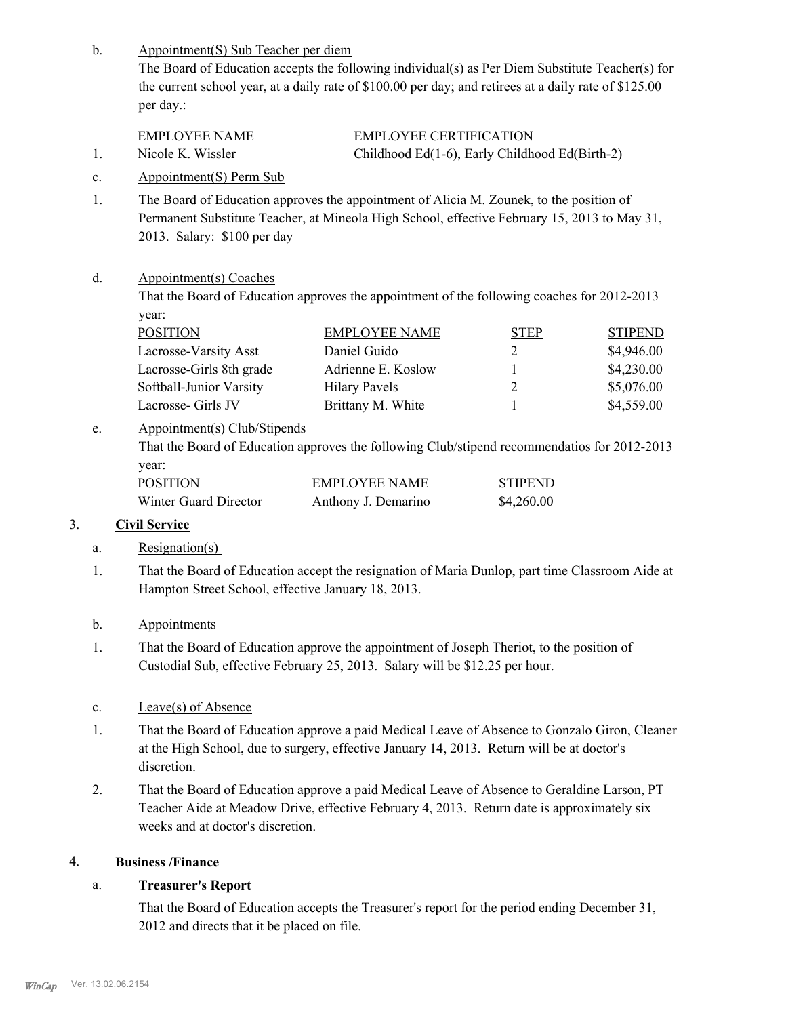Appointment(S) Sub Teacher per diem b.

> The Board of Education accepts the following individual(s) as Per Diem Substitute Teacher(s) for the current school year, at a daily rate of \$100.00 per day; and retirees at a daily rate of \$125.00 per day.:

- EMPLOYEE NAME EMPLOYEE CERTIFICATION 1. Nicole K. Wissler Childhood Ed(1-6), Early Childhood Ed(Birth-2)
- c. Appointment(S) Perm Sub
- The Board of Education approves the appointment of Alicia M. Zounek, to the position of Permanent Substitute Teacher, at Mineola High School, effective February 15, 2013 to May 31, 2013. Salary: \$100 per day 1.

#### Appointment(s) Coaches d.

That the Board of Education approves the appointment of the following coaches for 2012-2013 year:

| <b>POSITION</b>          | <b>EMPLOYEE NAME</b> | <b>STEP</b> | <b>STIPEND</b> |
|--------------------------|----------------------|-------------|----------------|
| Lacrosse-Varsity Asst    | Daniel Guido         |             | \$4,946.00     |
| Lacrosse-Girls 8th grade | Adrienne E. Koslow   |             | \$4,230.00     |
| Softball-Junior Varsity  | Hilary Pavels        |             | \$5,076.00     |
| Lacrosse- Girls JV       | Brittany M. White    |             | \$4,559.00     |

#### Appointment(s) Club/Stipends e.

That the Board of Education approves the following Club/stipend recommendatios for 2012-2013 year:

| <b>POSITION</b>       | <b>EMPLOYEE NAME</b> | <b>STIPEND</b> |
|-----------------------|----------------------|----------------|
| Winter Guard Director | Anthony J. Demarino  | \$4,260.00     |

### 3. **Civil Service**

- a. Resignation(s)
- That the Board of Education accept the resignation of Maria Dunlop, part time Classroom Aide at Hampton Street School, effective January 18, 2013. 1.

#### b. Appointments

That the Board of Education approve the appointment of Joseph Theriot, to the position of Custodial Sub, effective February 25, 2013. Salary will be \$12.25 per hour. 1.

#### c. Leave(s) of Absence

- That the Board of Education approve a paid Medical Leave of Absence to Gonzalo Giron, Cleaner at the High School, due to surgery, effective January 14, 2013. Return will be at doctor's discretion. 1.
- That the Board of Education approve a paid Medical Leave of Absence to Geraldine Larson, PT Teacher Aide at Meadow Drive, effective February 4, 2013. Return date is approximately six weeks and at doctor's discretion. 2.

### 4. **Business /Finance**

### a. **Treasurer's Report**

That the Board of Education accepts the Treasurer's report for the period ending December 31, 2012 and directs that it be placed on file.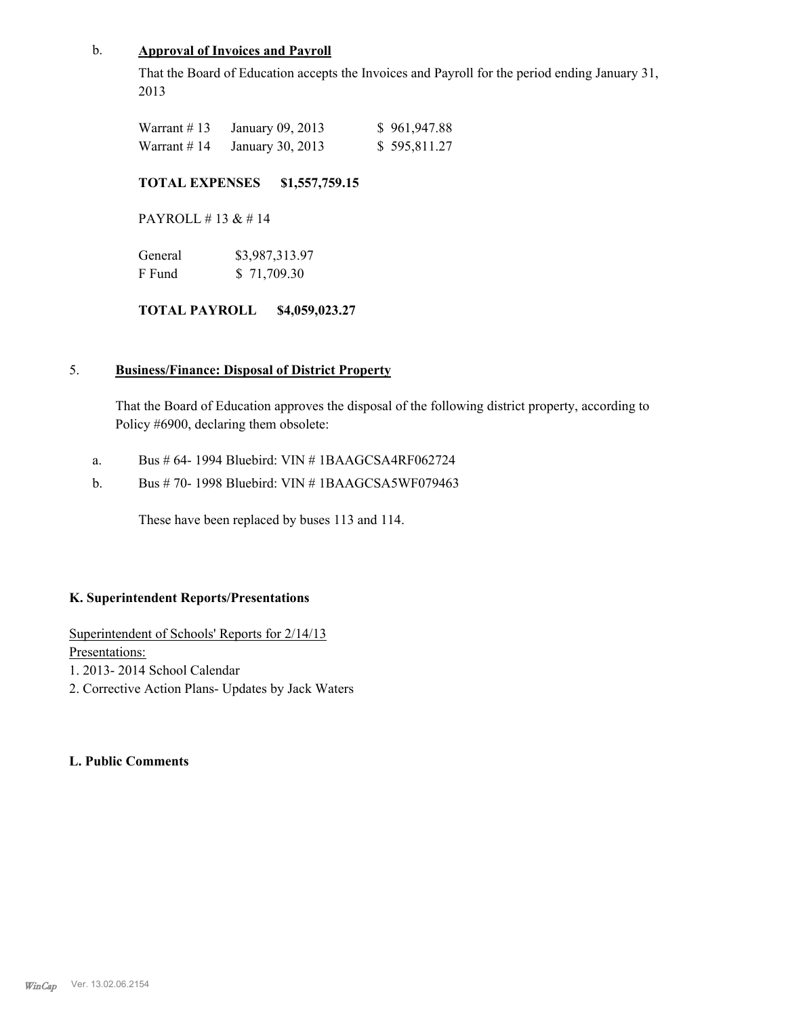#### b. **Approval of Invoices and Payroll**

That the Board of Education accepts the Invoices and Payroll for the period ending January 31, 2013

| Warrant $\#$ 13 | January 09, 2013 | \$961,947.88 |
|-----------------|------------------|--------------|
| Warrant $#14$   | January 30, 2013 | \$595,811.27 |

#### **TOTAL EXPENSES \$1,557,759.15**

PAYROLL # 13 & # 14

| General | \$3,987,313.97 |
|---------|----------------|
| F Fund  | \$71,709.30    |

#### **TOTAL PAYROLL \$4,059,023.27**

#### **Business/Finance: Disposal of District Property** 5.

That the Board of Education approves the disposal of the following district property, according to Policy #6900, declaring them obsolete:

- a. Bus # 64- 1994 Bluebird: VIN # 1BAAGCSA4RF062724
- Bus # 70- 1998 Bluebird: VIN # 1BAAGCSA5WF079463 b.

These have been replaced by buses 113 and 114.

#### **K. Superintendent Reports/Presentations**

Superintendent of Schools' Reports for 2/14/13 Presentations:

1. 2013- 2014 School Calendar

2. Corrective Action Plans- Updates by Jack Waters

#### **L. Public Comments**